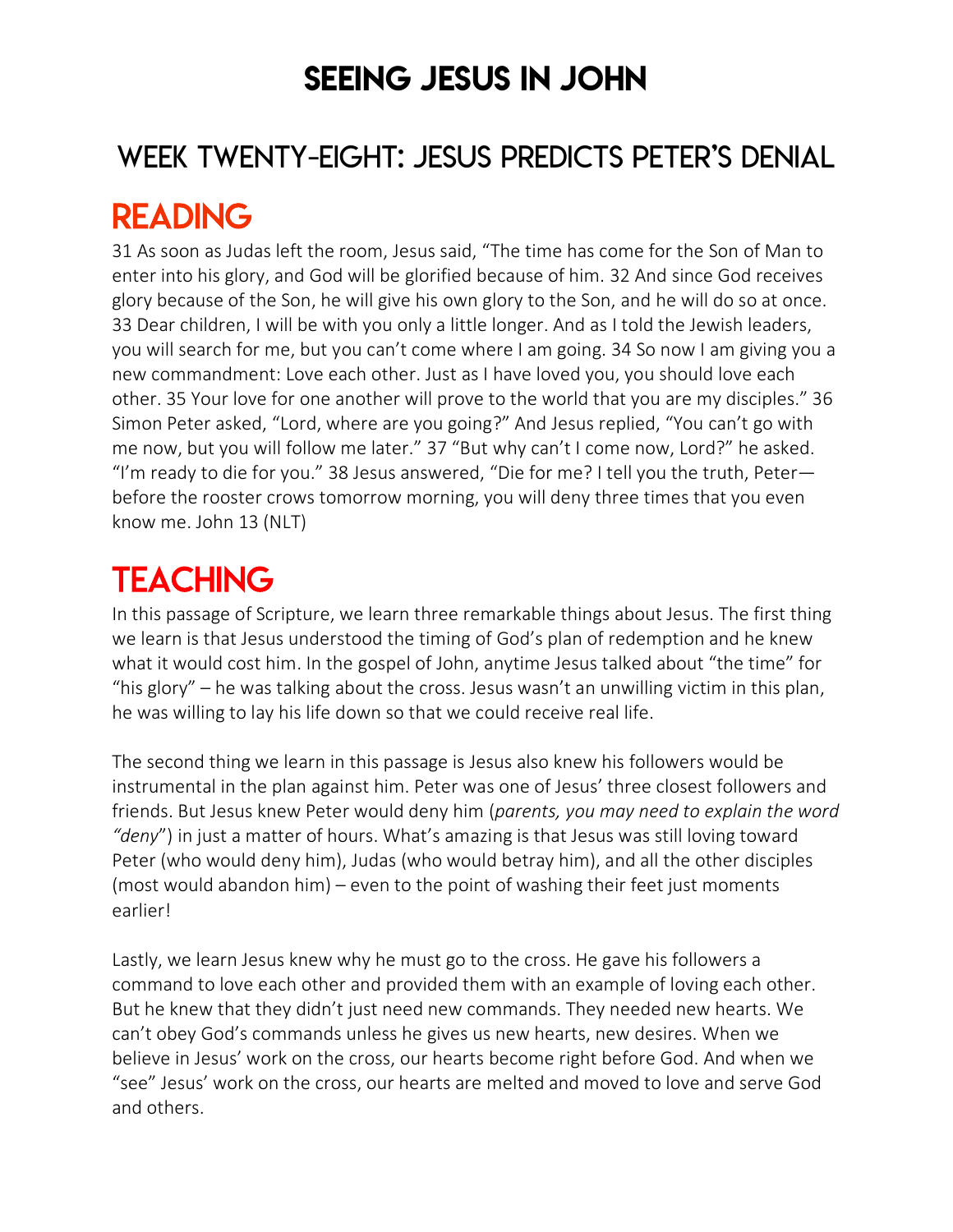### SEEING JESUS IN JOHN

### WEEK TWENTY-EIGHT: JESUS PREDICTS PETER'S DENIAL

### READING

31 As soon as Judas left the room, Jesus said, "The time has come for the Son of Man to enter into his glory, and God will be glorified because of him. 32 And since God receives glory because of the Son, he will give his own glory to the Son, and he will do so at once. 33 Dear children, I will be with you only a little longer. And as I told the Jewish leaders, you will search for me, but you can't come where I am going. 34 So now I am giving you a new commandment: Love each other. Just as I have loved you, you should love each other. 35 Your love for one another will prove to the world that you are my disciples." 36 Simon Peter asked, "Lord, where are you going?" And Jesus replied, "You can't go with me now, but you will follow me later." 37 "But why can't I come now, Lord?" he asked. "I'm ready to die for you." 38 Jesus answered, "Die for me? I tell you the truth, Peter before the rooster crows tomorrow morning, you will deny three times that you even know me. John 13 (NLT)

## **TEACHING**

In this passage of Scripture, we learn three remarkable things about Jesus. The first thing we learn is that Jesus understood the timing of God's plan of redemption and he knew what it would cost him. In the gospel of John, anytime Jesus talked about "the time" for "his glory" – he was talking about the cross. Jesus wasn't an unwilling victim in this plan, he was willing to lay his life down so that we could receive real life.

The second thing we learn in this passage is Jesus also knew his followers would be instrumental in the plan against him. Peter was one of Jesus' three closest followers and friends. But Jesus knew Peter would deny him (*parents, you may need to explain the word "deny*") in just a matter of hours. What's amazing is that Jesus was still loving toward Peter (who would deny him), Judas (who would betray him), and all the other disciples (most would abandon him) – even to the point of washing their feet just moments earlier!

Lastly, we learn Jesus knew why he must go to the cross. He gave his followers a command to love each other and provided them with an example of loving each other. But he knew that they didn't just need new commands. They needed new hearts. We can't obey God's commands unless he gives us new hearts, new desires. When we believe in Jesus' work on the cross, our hearts become right before God. And when we "see" Jesus' work on the cross, our hearts are melted and moved to love and serve God and others.